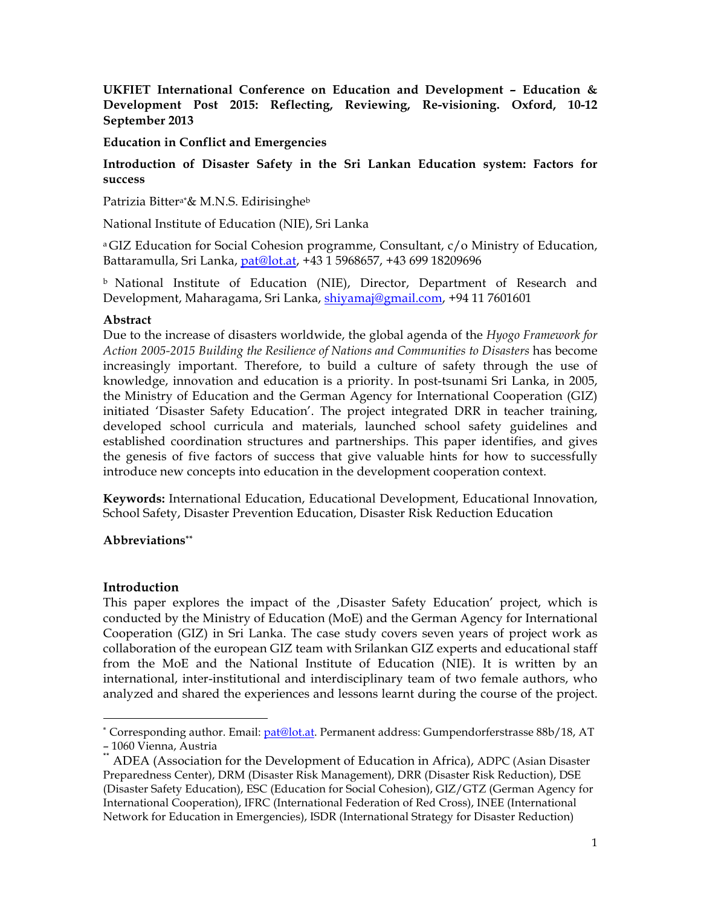**UKFIET International Conference on Education and Development – Education & Development Post 2015: Reflecting, Reviewing, Re-visioning. Oxford, 10-12 September 2013**

**Education in Conflict and Emergencies**

## **Introduction of Disaster Safety in the Sri Lankan Education system: Factors for success**

Patrizia Bitter<sup>a\*</sup>& M.N.S. Edirisinghe<sup>b</sup>

National Institute of Education (NIE), Sri Lanka

a GIZ Education for Social Cohesion programme, Consultant, c/o Ministry of Education, Battaramulla, Sri Lanka, pat@lot.at, +43 1 5968657, +43 699 18209696

b National Institute of Education (NIE), Director, Department of Research and Development, Maharagama, Sri Lanka, shiyamaj@gmail.com, +94 11 7601601

### **Abstract**

Due to the increase of disasters worldwide, the global agenda of the *Hyogo Framework for Action 2005-2015 Building the Resilience of Nations and Communities to Disasters* has become increasingly important. Therefore, to build a culture of safety through the use of knowledge, innovation and education is a priority. In post-tsunami Sri Lanka, in 2005, the Ministry of Education and the German Agency for International Cooperation (GIZ) initiated 'Disaster Safety Education'. The project integrated DRR in teacher training, developed school curricula and materials, launched school safety guidelines and established coordination structures and partnerships. This paper identifies, and gives the genesis of five factors of success that give valuable hints for how to successfully introduce new concepts into education in the development cooperation context.

**Keywords:** International Education, Educational Development, Educational Innovation, School Safety, Disaster Prevention Education, Disaster Risk Reduction Education

### **Abbreviations\*\***

### **Introduction**

This paper explores the impact of the Disaster Safety Education' project, which is conducted by the Ministry of Education (MoE) and the German Agency for International Cooperation (GIZ) in Sri Lanka. The case study covers seven years of project work as collaboration of the european GIZ team with Srilankan GIZ experts and educational staff from the MoE and the National Institute of Education (NIE). It is written by an international, inter-institutional and interdisciplinary team of two female authors, who analyzed and shared the experiences and lessons learnt during the course of the project.

\* Corresponding author. Email: pat@lot.at. Permanent address: Gumpendorferstrasse 88b/18, AT – 1060 Vienna, Austria<br>\*\* ADEA (Association for the Development of Education in Africa), ADPC (Asian Disaster

Preparedness Center), DRM (Disaster Risk Management), DRR (Disaster Risk Reduction), DSE (Disaster Safety Education), ESC (Education for Social Cohesion), GIZ/GTZ (German Agency for International Cooperation), IFRC (International Federation of Red Cross), INEE (International Network for Education in Emergencies), ISDR (International Strategy for Disaster Reduction)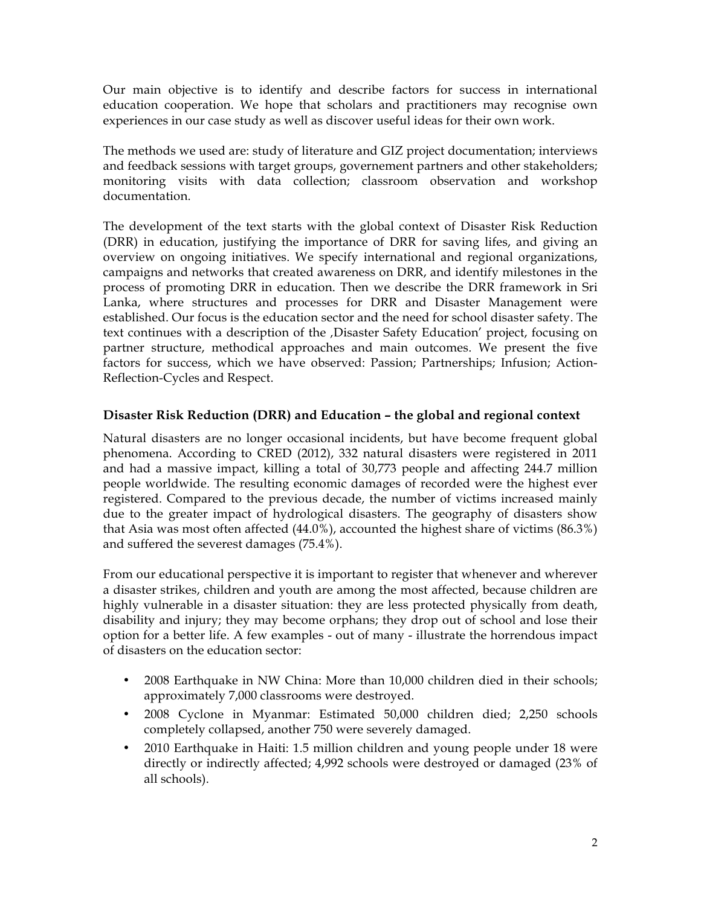Our main objective is to identify and describe factors for success in international education cooperation. We hope that scholars and practitioners may recognise own experiences in our case study as well as discover useful ideas for their own work.

The methods we used are: study of literature and GIZ project documentation; interviews and feedback sessions with target groups, governement partners and other stakeholders; monitoring visits with data collection; classroom observation and workshop documentation.

The development of the text starts with the global context of Disaster Risk Reduction (DRR) in education, justifying the importance of DRR for saving lifes, and giving an overview on ongoing initiatives. We specify international and regional organizations, campaigns and networks that created awareness on DRR, and identify milestones in the process of promoting DRR in education. Then we describe the DRR framework in Sri Lanka, where structures and processes for DRR and Disaster Management were established. Our focus is the education sector and the need for school disaster safety. The text continues with a description of the , Disaster Safety Education' project, focusing on partner structure, methodical approaches and main outcomes. We present the five factors for success, which we have observed: Passion; Partnerships; Infusion; Action-Reflection-Cycles and Respect.

### **Disaster Risk Reduction (DRR) and Education – the global and regional context**

Natural disasters are no longer occasional incidents, but have become frequent global phenomena. According to CRED (2012), 332 natural disasters were registered in 2011 and had a massive impact, killing a total of 30,773 people and affecting 244.7 million people worldwide. The resulting economic damages of recorded were the highest ever registered. Compared to the previous decade, the number of victims increased mainly due to the greater impact of hydrological disasters. The geography of disasters show that Asia was most often affected (44.0%), accounted the highest share of victims (86.3%) and suffered the severest damages (75.4%).

From our educational perspective it is important to register that whenever and wherever a disaster strikes, children and youth are among the most affected, because children are highly vulnerable in a disaster situation: they are less protected physically from death, disability and injury; they may become orphans; they drop out of school and lose their option for a better life. A few examples - out of many - illustrate the horrendous impact of disasters on the education sector:

- 2008 Earthquake in NW China: More than 10,000 children died in their schools; approximately 7,000 classrooms were destroyed.
- 2008 Cyclone in Myanmar: Estimated 50,000 children died; 2,250 schools completely collapsed, another 750 were severely damaged.
- 2010 Earthquake in Haiti: 1.5 million children and young people under 18 were directly or indirectly affected; 4,992 schools were destroyed or damaged (23% of all schools).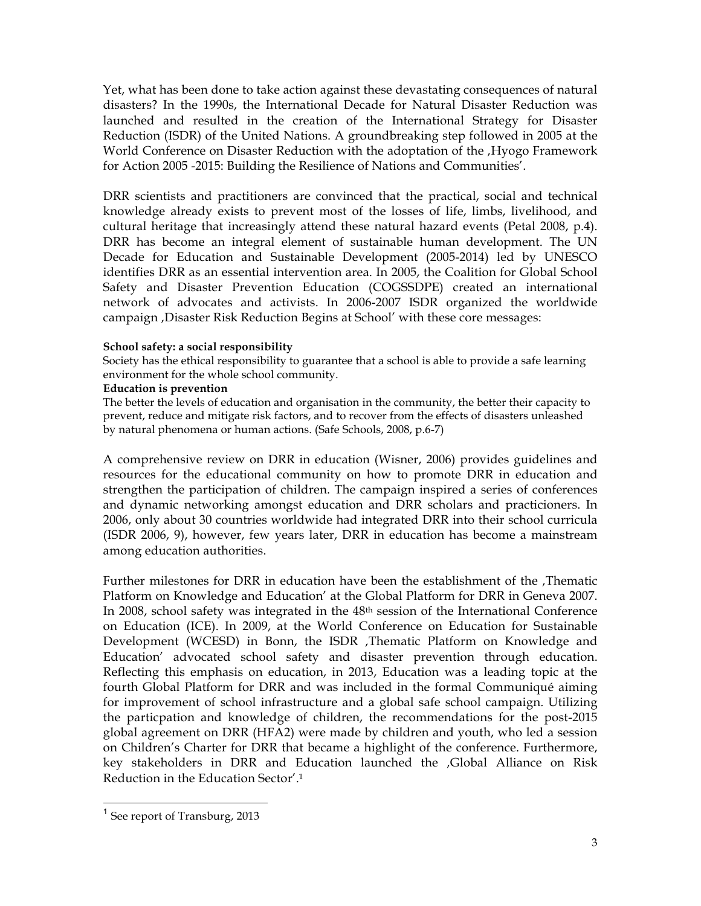Yet, what has been done to take action against these devastating consequences of natural disasters? In the 1990s, the International Decade for Natural Disaster Reduction was launched and resulted in the creation of the International Strategy for Disaster Reduction (ISDR) of the United Nations. A groundbreaking step followed in 2005 at the World Conference on Disaster Reduction with the adoptation of the , Hyogo Framework for Action 2005 -2015: Building the Resilience of Nations and Communities'.

DRR scientists and practitioners are convinced that the practical, social and technical knowledge already exists to prevent most of the losses of life, limbs, livelihood, and cultural heritage that increasingly attend these natural hazard events (Petal 2008, p.4). DRR has become an integral element of sustainable human development. The UN Decade for Education and Sustainable Development (2005-2014) led by UNESCO identifies DRR as an essential intervention area. In 2005, the Coalition for Global School Safety and Disaster Prevention Education (COGSSDPE) created an international network of advocates and activists. In 2006-2007 ISDR organized the worldwide campaign , Disaster Risk Reduction Begins at School' with these core messages:

#### **School safety: a social responsibility**

Society has the ethical responsibility to guarantee that a school is able to provide a safe learning environment for the whole school community.

#### **Education is prevention**

The better the levels of education and organisation in the community, the better their capacity to prevent, reduce and mitigate risk factors, and to recover from the effects of disasters unleashed by natural phenomena or human actions. (Safe Schools, 2008, p.6-7)

A comprehensive review on DRR in education (Wisner, 2006) provides guidelines and resources for the educational community on how to promote DRR in education and strengthen the participation of children. The campaign inspired a series of conferences and dynamic networking amongst education and DRR scholars and practicioners. In 2006, only about 30 countries worldwide had integrated DRR into their school curricula (ISDR 2006, 9), however, few years later, DRR in education has become a mainstream among education authorities.

Further milestones for DRR in education have been the establishment of the ,Thematic Platform on Knowledge and Education' at the Global Platform for DRR in Geneva 2007. In 2008, school safety was integrated in the 48<sup>th</sup> session of the International Conference on Education (ICE). In 2009, at the World Conference on Education for Sustainable Development (WCESD) in Bonn, the ISDR ,Thematic Platform on Knowledge and Education' advocated school safety and disaster prevention through education. Reflecting this emphasis on education, in 2013, Education was a leading topic at the fourth Global Platform for DRR and was included in the formal Communiqué aiming for improvement of school infrastructure and a global safe school campaign. Utilizing the particpation and knowledge of children, the recommendations for the post-2015 global agreement on DRR (HFA2) were made by children and youth, who led a session on Children's Charter for DRR that became a highlight of the conference. Furthermore, key stakeholders in DRR and Education launched the 'Global Alliance on Risk Reduction in the Education Sector'.1

 <sup>1</sup> See report of Transburg, 2013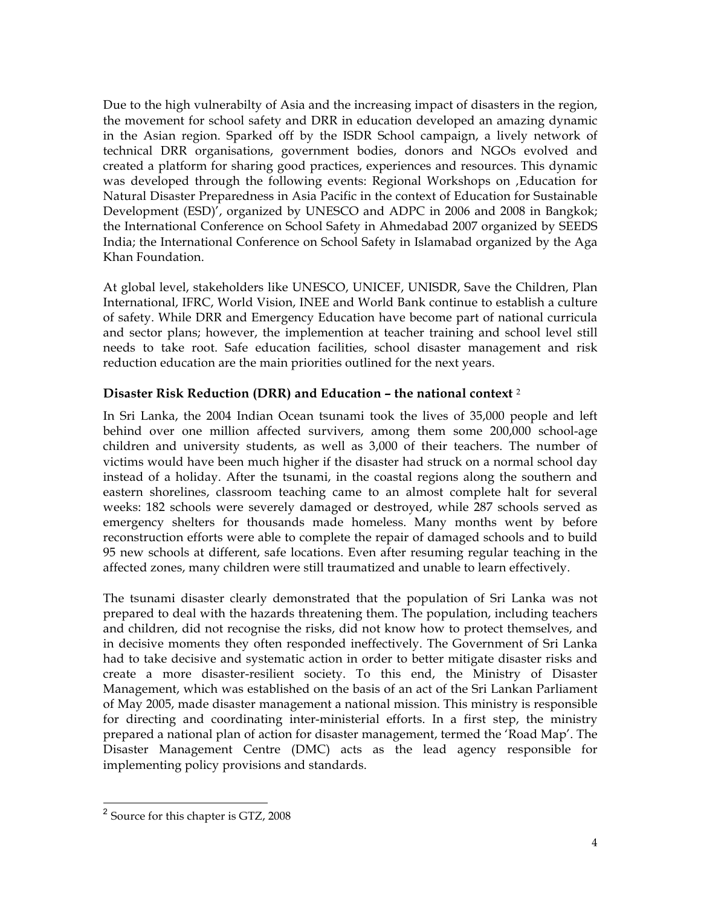Due to the high vulnerabilty of Asia and the increasing impact of disasters in the region, the movement for school safety and DRR in education developed an amazing dynamic in the Asian region. Sparked off by the ISDR School campaign, a lively network of technical DRR organisations, government bodies, donors and NGOs evolved and created a platform for sharing good practices, experiences and resources. This dynamic was developed through the following events: Regional Workshops on , Education for Natural Disaster Preparedness in Asia Pacific in the context of Education for Sustainable Development (ESD)', organized by UNESCO and ADPC in 2006 and 2008 in Bangkok; the International Conference on School Safety in Ahmedabad 2007 organized by SEEDS India; the International Conference on School Safety in Islamabad organized by the Aga Khan Foundation.

At global level, stakeholders like UNESCO, UNICEF, UNISDR, Save the Children, Plan International, IFRC, World Vision, INEE and World Bank continue to establish a culture of safety. While DRR and Emergency Education have become part of national curricula and sector plans; however, the implemention at teacher training and school level still needs to take root. Safe education facilities, school disaster management and risk reduction education are the main priorities outlined for the next years.

## **Disaster Risk Reduction (DRR) and Education – the national context** <sup>2</sup>

In Sri Lanka, the 2004 Indian Ocean tsunami took the lives of 35,000 people and left behind over one million affected survivers, among them some 200,000 school-age children and university students, as well as 3,000 of their teachers. The number of victims would have been much higher if the disaster had struck on a normal school day instead of a holiday. After the tsunami, in the coastal regions along the southern and eastern shorelines, classroom teaching came to an almost complete halt for several weeks: 182 schools were severely damaged or destroyed, while 287 schools served as emergency shelters for thousands made homeless. Many months went by before reconstruction efforts were able to complete the repair of damaged schools and to build 95 new schools at different, safe locations. Even after resuming regular teaching in the affected zones, many children were still traumatized and unable to learn effectively.

The tsunami disaster clearly demonstrated that the population of Sri Lanka was not prepared to deal with the hazards threatening them. The population, including teachers and children, did not recognise the risks, did not know how to protect themselves, and in decisive moments they often responded ineffectively. The Government of Sri Lanka had to take decisive and systematic action in order to better mitigate disaster risks and create a more disaster-resilient society. To this end, the Ministry of Disaster Management, which was established on the basis of an act of the Sri Lankan Parliament of May 2005, made disaster management a national mission. This ministry is responsible for directing and coordinating inter-ministerial efforts. In a first step, the ministry prepared a national plan of action for disaster management, termed the 'Road Map'. The Disaster Management Centre (DMC) acts as the lead agency responsible for implementing policy provisions and standards.

 <sup>2</sup> Source for this chapter is GTZ, 2008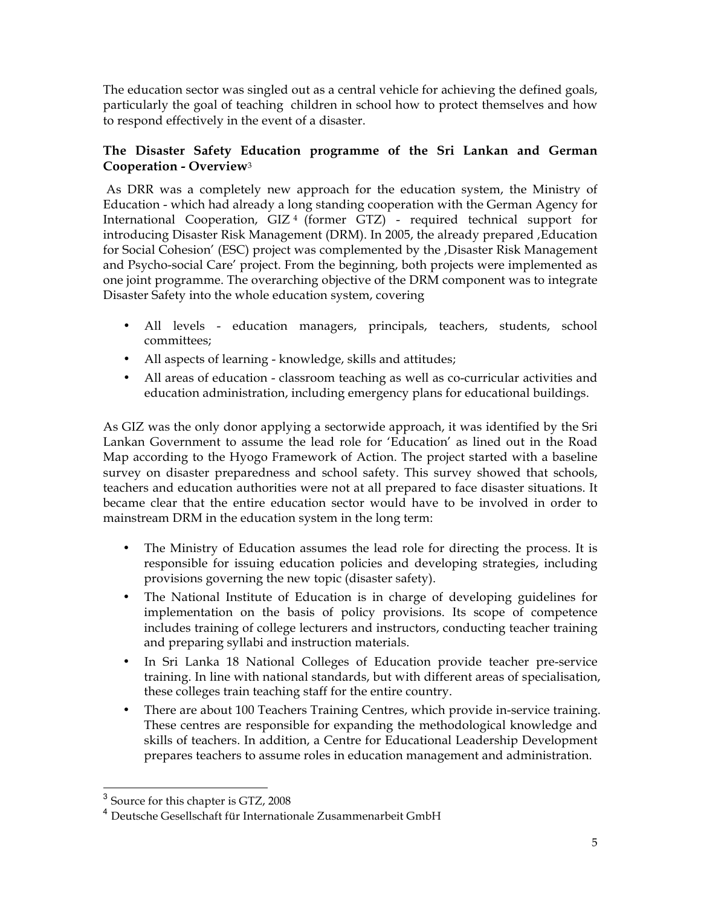The education sector was singled out as a central vehicle for achieving the defined goals, particularly the goal of teaching children in school how to protect themselves and how to respond effectively in the event of a disaster.

# **The Disaster Safety Education programme of the Sri Lankan and German Cooperation - Overview**<sup>3</sup>

 As DRR was a completely new approach for the education system, the Ministry of Education - which had already a long standing cooperation with the German Agency for International Cooperation, GIZ 4 (former GTZ) - required technical support for introducing Disaster Risk Management (DRM). In 2005, the already prepared , Education for Social Cohesion' (ESC) project was complemented by the , Disaster Risk Management and Psycho-social Care' project. From the beginning, both projects were implemented as one joint programme. The overarching objective of the DRM component was to integrate Disaster Safety into the whole education system, covering

- All levels education managers, principals, teachers, students, school committees;
- All aspects of learning knowledge, skills and attitudes;
- All areas of education classroom teaching as well as co-curricular activities and education administration, including emergency plans for educational buildings.

As GIZ was the only donor applying a sectorwide approach, it was identified by the Sri Lankan Government to assume the lead role for 'Education' as lined out in the Road Map according to the Hyogo Framework of Action. The project started with a baseline survey on disaster preparedness and school safety. This survey showed that schools, teachers and education authorities were not at all prepared to face disaster situations. It became clear that the entire education sector would have to be involved in order to mainstream DRM in the education system in the long term:

- The Ministry of Education assumes the lead role for directing the process. It is responsible for issuing education policies and developing strategies, including provisions governing the new topic (disaster safety).
- The National Institute of Education is in charge of developing guidelines for implementation on the basis of policy provisions. Its scope of competence includes training of college lecturers and instructors, conducting teacher training and preparing syllabi and instruction materials.
- In Sri Lanka 18 National Colleges of Education provide teacher pre-service training. In line with national standards, but with different areas of specialisation, these colleges train teaching staff for the entire country.
- There are about 100 Teachers Training Centres, which provide in-service training. These centres are responsible for expanding the methodological knowledge and skills of teachers. In addition, a Centre for Educational Leadership Development prepares teachers to assume roles in education management and administration.

 <sup>3</sup> Source for this chapter is GTZ, 2008

<sup>4</sup> Deutsche Gesellschaft für Internationale Zusammenarbeit GmbH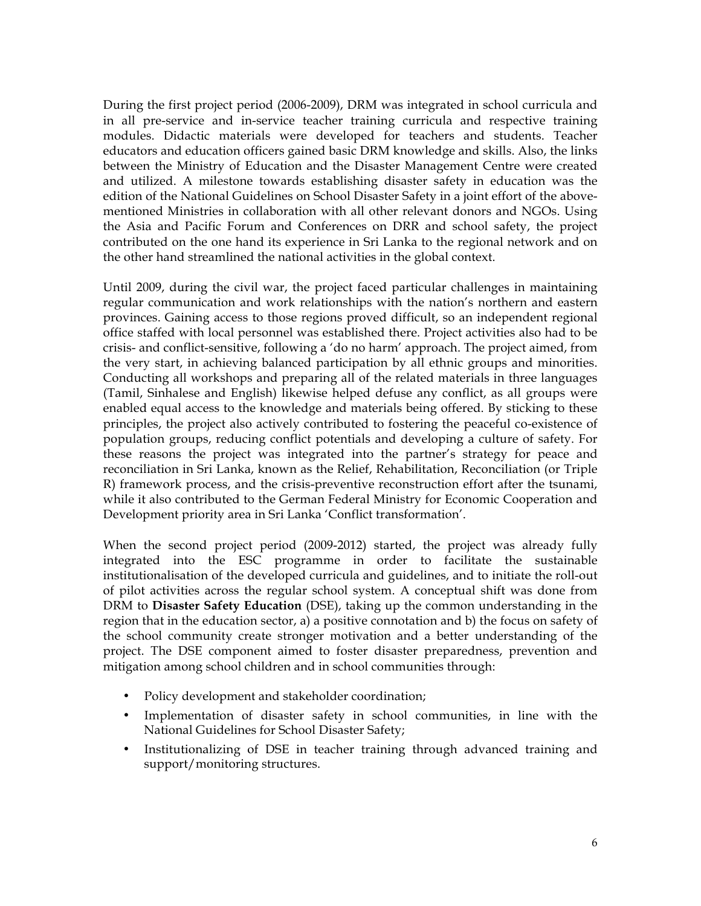During the first project period (2006-2009), DRM was integrated in school curricula and in all pre-service and in-service teacher training curricula and respective training modules. Didactic materials were developed for teachers and students. Teacher educators and education officers gained basic DRM knowledge and skills. Also, the links between the Ministry of Education and the Disaster Management Centre were created and utilized. A milestone towards establishing disaster safety in education was the edition of the National Guidelines on School Disaster Safety in a joint effort of the abovementioned Ministries in collaboration with all other relevant donors and NGOs. Using the Asia and Pacific Forum and Conferences on DRR and school safety, the project contributed on the one hand its experience in Sri Lanka to the regional network and on the other hand streamlined the national activities in the global context.

Until 2009, during the civil war, the project faced particular challenges in maintaining regular communication and work relationships with the nation's northern and eastern provinces. Gaining access to those regions proved difficult, so an independent regional office staffed with local personnel was established there. Project activities also had to be crisis- and conflict-sensitive, following a 'do no harm' approach. The project aimed, from the very start, in achieving balanced participation by all ethnic groups and minorities. Conducting all workshops and preparing all of the related materials in three languages (Tamil, Sinhalese and English) likewise helped defuse any conflict, as all groups were enabled equal access to the knowledge and materials being offered. By sticking to these principles, the project also actively contributed to fostering the peaceful co-existence of population groups, reducing conflict potentials and developing a culture of safety. For these reasons the project was integrated into the partner's strategy for peace and reconciliation in Sri Lanka, known as the Relief, Rehabilitation, Reconciliation (or Triple R) framework process, and the crisis-preventive reconstruction effort after the tsunami, while it also contributed to the German Federal Ministry for Economic Cooperation and Development priority area in Sri Lanka 'Conflict transformation'.

When the second project period (2009-2012) started, the project was already fully integrated into the ESC programme in order to facilitate the sustainable institutionalisation of the developed curricula and guidelines, and to initiate the roll-out of pilot activities across the regular school system. A conceptual shift was done from DRM to **Disaster Safety Education** (DSE), taking up the common understanding in the region that in the education sector, a) a positive connotation and b) the focus on safety of the school community create stronger motivation and a better understanding of the project. The DSE component aimed to foster disaster preparedness, prevention and mitigation among school children and in school communities through:

- Policy development and stakeholder coordination;
- Implementation of disaster safety in school communities, in line with the National Guidelines for School Disaster Safety;
- Institutionalizing of DSE in teacher training through advanced training and support/monitoring structures.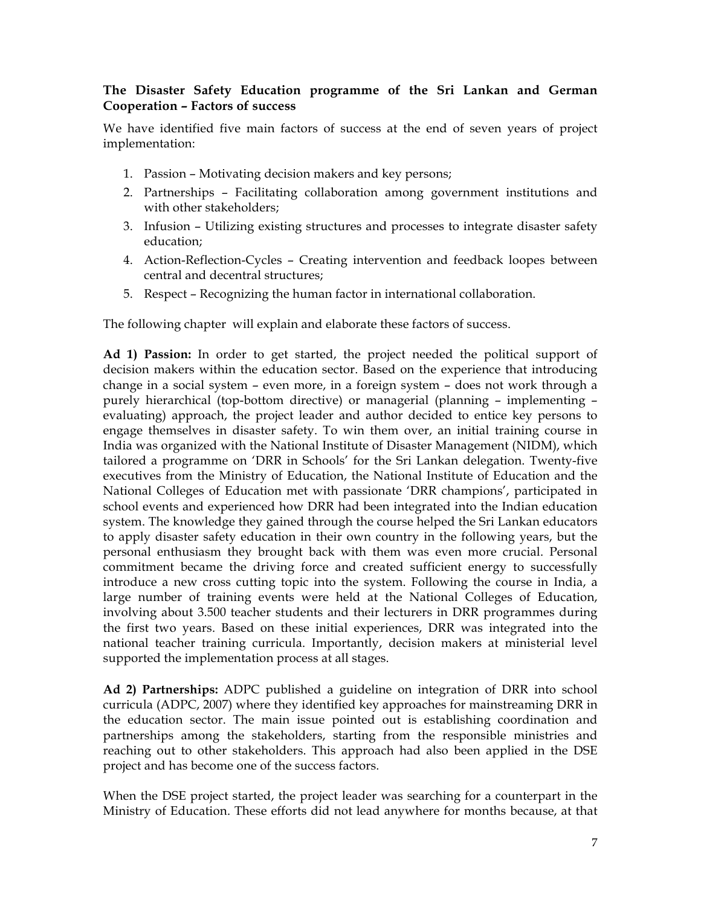## **The Disaster Safety Education programme of the Sri Lankan and German Cooperation – Factors of success**

We have identified five main factors of success at the end of seven years of project implementation:

- 1. Passion Motivating decision makers and key persons;
- 2. Partnerships Facilitating collaboration among government institutions and with other stakeholders;
- 3. Infusion Utilizing existing structures and processes to integrate disaster safety education;
- 4. Action-Reflection-Cycles Creating intervention and feedback loopes between central and decentral structures;
- 5. Respect Recognizing the human factor in international collaboration.

The following chapter will explain and elaborate these factors of success.

**Ad 1) Passion:** In order to get started, the project needed the political support of decision makers within the education sector. Based on the experience that introducing change in a social system – even more, in a foreign system – does not work through a purely hierarchical (top-bottom directive) or managerial (planning – implementing – evaluating) approach, the project leader and author decided to entice key persons to engage themselves in disaster safety. To win them over, an initial training course in India was organized with the National Institute of Disaster Management (NIDM), which tailored a programme on 'DRR in Schools' for the Sri Lankan delegation. Twenty-five executives from the Ministry of Education, the National Institute of Education and the National Colleges of Education met with passionate 'DRR champions', participated in school events and experienced how DRR had been integrated into the Indian education system. The knowledge they gained through the course helped the Sri Lankan educators to apply disaster safety education in their own country in the following years, but the personal enthusiasm they brought back with them was even more crucial. Personal commitment became the driving force and created sufficient energy to successfully introduce a new cross cutting topic into the system. Following the course in India, a large number of training events were held at the National Colleges of Education, involving about 3.500 teacher students and their lecturers in DRR programmes during the first two years. Based on these initial experiences, DRR was integrated into the national teacher training curricula. Importantly, decision makers at ministerial level supported the implementation process at all stages.

**Ad 2) Partnerships:** ADPC published a guideline on integration of DRR into school curricula (ADPC, 2007) where they identified key approaches for mainstreaming DRR in the education sector. The main issue pointed out is establishing coordination and partnerships among the stakeholders, starting from the responsible ministries and reaching out to other stakeholders. This approach had also been applied in the DSE project and has become one of the success factors.

When the DSE project started, the project leader was searching for a counterpart in the Ministry of Education. These efforts did not lead anywhere for months because, at that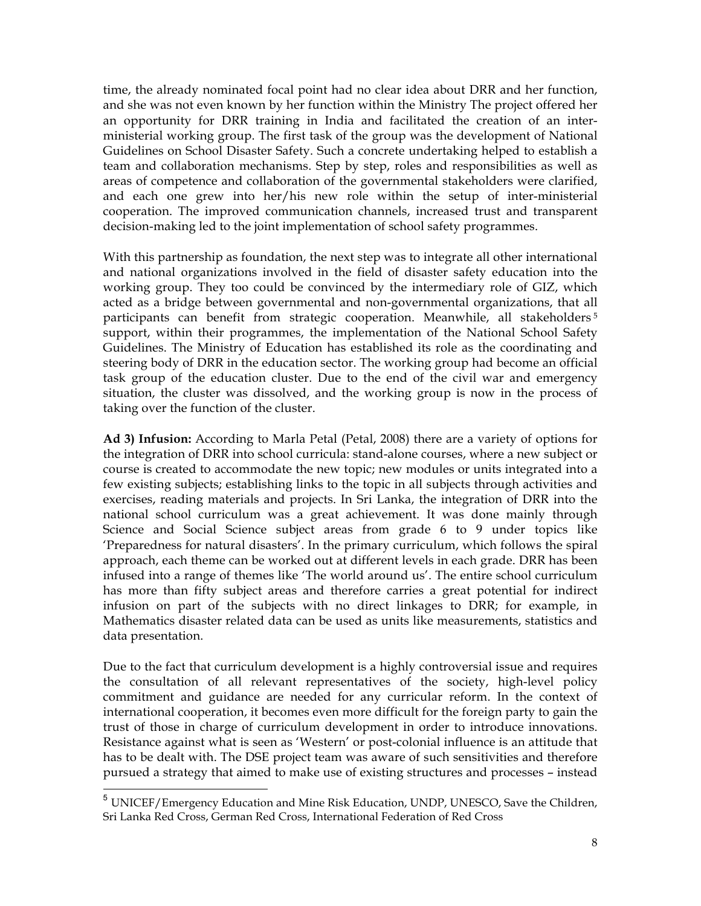time, the already nominated focal point had no clear idea about DRR and her function, and she was not even known by her function within the Ministry The project offered her an opportunity for DRR training in India and facilitated the creation of an interministerial working group. The first task of the group was the development of National Guidelines on School Disaster Safety. Such a concrete undertaking helped to establish a team and collaboration mechanisms. Step by step, roles and responsibilities as well as areas of competence and collaboration of the governmental stakeholders were clarified, and each one grew into her/his new role within the setup of inter-ministerial cooperation. The improved communication channels, increased trust and transparent decision-making led to the joint implementation of school safety programmes.

With this partnership as foundation, the next step was to integrate all other international and national organizations involved in the field of disaster safety education into the working group. They too could be convinced by the intermediary role of GIZ, which acted as a bridge between governmental and non-governmental organizations, that all participants can benefit from strategic cooperation. Meanwhile, all stakeholders<sup>5</sup> support, within their programmes, the implementation of the National School Safety Guidelines. The Ministry of Education has established its role as the coordinating and steering body of DRR in the education sector. The working group had become an official task group of the education cluster. Due to the end of the civil war and emergency situation, the cluster was dissolved, and the working group is now in the process of taking over the function of the cluster.

**Ad 3) Infusion:** According to Marla Petal (Petal, 2008) there are a variety of options for the integration of DRR into school curricula: stand-alone courses, where a new subject or course is created to accommodate the new topic; new modules or units integrated into a few existing subjects; establishing links to the topic in all subjects through activities and exercises, reading materials and projects. In Sri Lanka, the integration of DRR into the national school curriculum was a great achievement. It was done mainly through Science and Social Science subject areas from grade 6 to 9 under topics like 'Preparedness for natural disasters'. In the primary curriculum, which follows the spiral approach, each theme can be worked out at different levels in each grade. DRR has been infused into a range of themes like 'The world around us'. The entire school curriculum has more than fifty subject areas and therefore carries a great potential for indirect infusion on part of the subjects with no direct linkages to DRR; for example, in Mathematics disaster related data can be used as units like measurements, statistics and data presentation.

Due to the fact that curriculum development is a highly controversial issue and requires the consultation of all relevant representatives of the society, high-level policy commitment and guidance are needed for any curricular reform. In the context of international cooperation, it becomes even more difficult for the foreign party to gain the trust of those in charge of curriculum development in order to introduce innovations. Resistance against what is seen as 'Western' or post-colonial influence is an attitude that has to be dealt with. The DSE project team was aware of such sensitivities and therefore pursued a strategy that aimed to make use of existing structures and processes – instead

 <sup>5</sup> UNICEF/Emergency Education and Mine Risk Education, UNDP, UNESCO, Save the Children, Sri Lanka Red Cross, German Red Cross, International Federation of Red Cross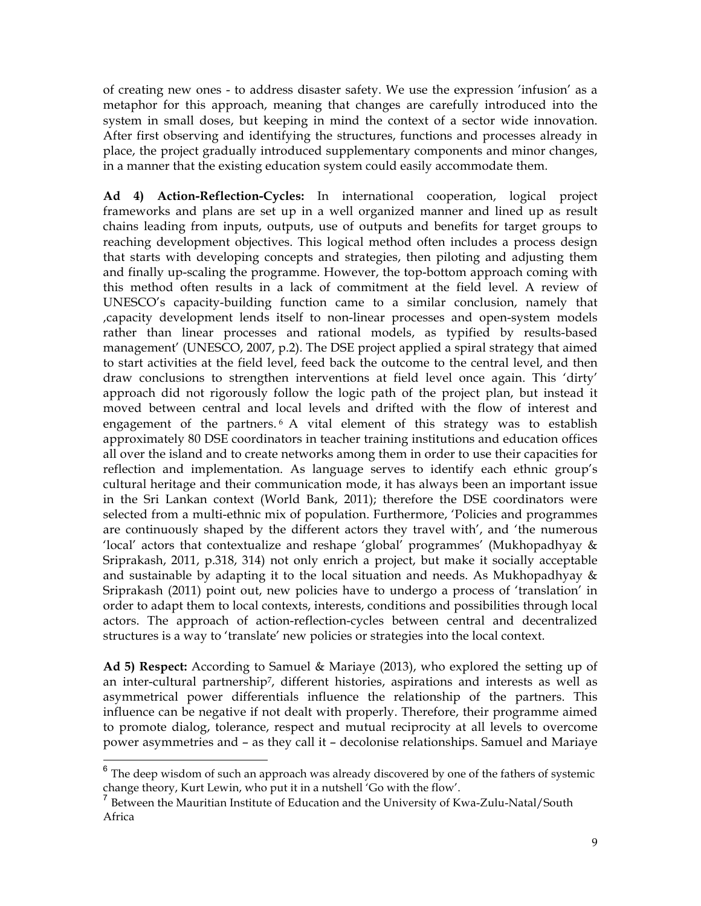of creating new ones - to address disaster safety. We use the expression 'infusion' as a metaphor for this approach, meaning that changes are carefully introduced into the system in small doses, but keeping in mind the context of a sector wide innovation. After first observing and identifying the structures, functions and processes already in place, the project gradually introduced supplementary components and minor changes, in a manner that the existing education system could easily accommodate them.

**Ad 4) Action-Reflection-Cycles:** In international cooperation, logical project frameworks and plans are set up in a well organized manner and lined up as result chains leading from inputs, outputs, use of outputs and benefits for target groups to reaching development objectives. This logical method often includes a process design that starts with developing concepts and strategies, then piloting and adjusting them and finally up-scaling the programme. However, the top-bottom approach coming with this method often results in a lack of commitment at the field level. A review of UNESCO's capacity-building function came to a similar conclusion, namely that 'capacity development lends itself to non-linear processes and open-system models rather than linear processes and rational models, as typified by results-based management' (UNESCO, 2007, p.2). The DSE project applied a spiral strategy that aimed to start activities at the field level, feed back the outcome to the central level, and then draw conclusions to strengthen interventions at field level once again. This 'dirty' approach did not rigorously follow the logic path of the project plan, but instead it moved between central and local levels and drifted with the flow of interest and engagement of the partners. <sup>6</sup> A vital element of this strategy was to establish approximately 80 DSE coordinators in teacher training institutions and education offices all over the island and to create networks among them in order to use their capacities for reflection and implementation. As language serves to identify each ethnic group's cultural heritage and their communication mode, it has always been an important issue in the Sri Lankan context (World Bank, 2011); therefore the DSE coordinators were selected from a multi-ethnic mix of population. Furthermore, 'Policies and programmes are continuously shaped by the different actors they travel with', and 'the numerous 'local' actors that contextualize and reshape 'global' programmes' (Mukhopadhyay & Sriprakash, 2011, p.318, 314) not only enrich a project, but make it socially acceptable and sustainable by adapting it to the local situation and needs. As Mukhopadhyay & Sriprakash (2011) point out, new policies have to undergo a process of 'translation' in order to adapt them to local contexts, interests, conditions and possibilities through local actors. The approach of action-reflection-cycles between central and decentralized structures is a way to 'translate' new policies or strategies into the local context.

**Ad 5) Respect:** According to Samuel & Mariaye (2013), who explored the setting up of an inter-cultural partnership7, different histories, aspirations and interests as well as asymmetrical power differentials influence the relationship of the partners. This influence can be negative if not dealt with properly. Therefore, their programme aimed to promote dialog, tolerance, respect and mutual reciprocity at all levels to overcome power asymmetries and – as they call it – decolonise relationships. Samuel and Mariaye

 $6$  The deep wisdom of such an approach was already discovered by one of the fathers of systemic change theory, Kurt Lewin, who put it in a nutshell 'Go with the flow'.

<sup>7</sup> Between the Mauritian Institute of Education and the University of Kwa-Zulu-Natal/South Africa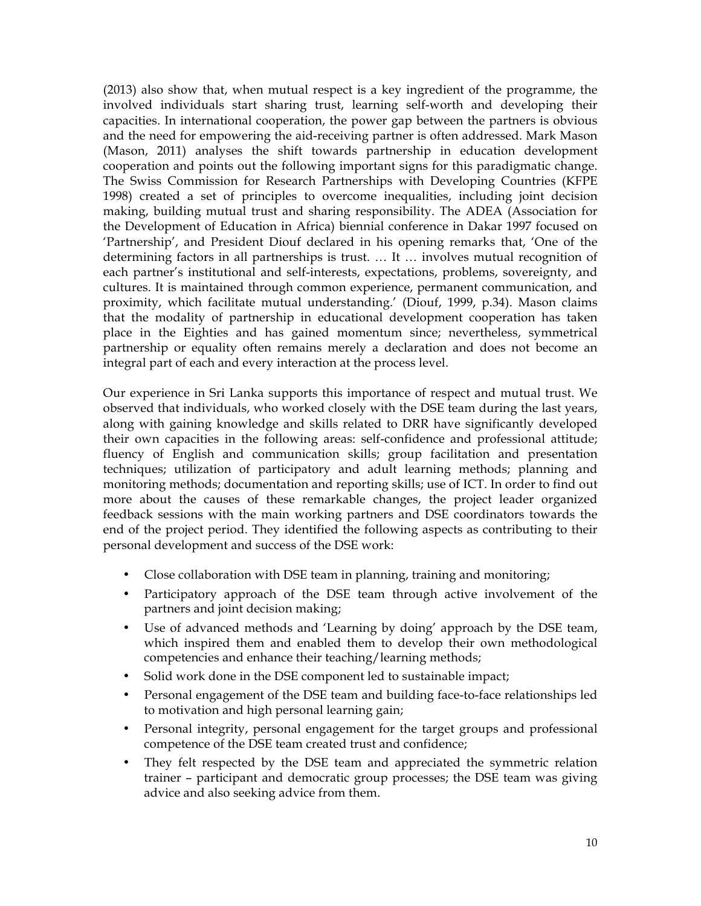(2013) also show that, when mutual respect is a key ingredient of the programme, the involved individuals start sharing trust, learning self-worth and developing their capacities. In international cooperation, the power gap between the partners is obvious and the need for empowering the aid-receiving partner is often addressed. Mark Mason (Mason, 2011) analyses the shift towards partnership in education development cooperation and points out the following important signs for this paradigmatic change. The Swiss Commission for Research Partnerships with Developing Countries (KFPE 1998) created a set of principles to overcome inequalities, including joint decision making, building mutual trust and sharing responsibility. The ADEA (Association for the Development of Education in Africa) biennial conference in Dakar 1997 focused on 'Partnership', and President Diouf declared in his opening remarks that, 'One of the determining factors in all partnerships is trust. … It … involves mutual recognition of each partner's institutional and self-interests, expectations, problems, sovereignty, and cultures. It is maintained through common experience, permanent communication, and proximity, which facilitate mutual understanding.' (Diouf, 1999, p.34). Mason claims that the modality of partnership in educational development cooperation has taken place in the Eighties and has gained momentum since; nevertheless, symmetrical partnership or equality often remains merely a declaration and does not become an integral part of each and every interaction at the process level.

Our experience in Sri Lanka supports this importance of respect and mutual trust. We observed that individuals, who worked closely with the DSE team during the last years, along with gaining knowledge and skills related to DRR have significantly developed their own capacities in the following areas: self-confidence and professional attitude; fluency of English and communication skills; group facilitation and presentation techniques; utilization of participatory and adult learning methods; planning and monitoring methods; documentation and reporting skills; use of ICT. In order to find out more about the causes of these remarkable changes, the project leader organized feedback sessions with the main working partners and DSE coordinators towards the end of the project period. They identified the following aspects as contributing to their personal development and success of the DSE work:

- Close collaboration with DSE team in planning, training and monitoring;
- Participatory approach of the DSE team through active involvement of the partners and joint decision making;
- Use of advanced methods and 'Learning by doing' approach by the DSE team, which inspired them and enabled them to develop their own methodological competencies and enhance their teaching/learning methods;
- Solid work done in the DSE component led to sustainable impact;
- Personal engagement of the DSE team and building face-to-face relationships led to motivation and high personal learning gain;
- Personal integrity, personal engagement for the target groups and professional competence of the DSE team created trust and confidence;
- They felt respected by the DSE team and appreciated the symmetric relation trainer – participant and democratic group processes; the DSE team was giving advice and also seeking advice from them.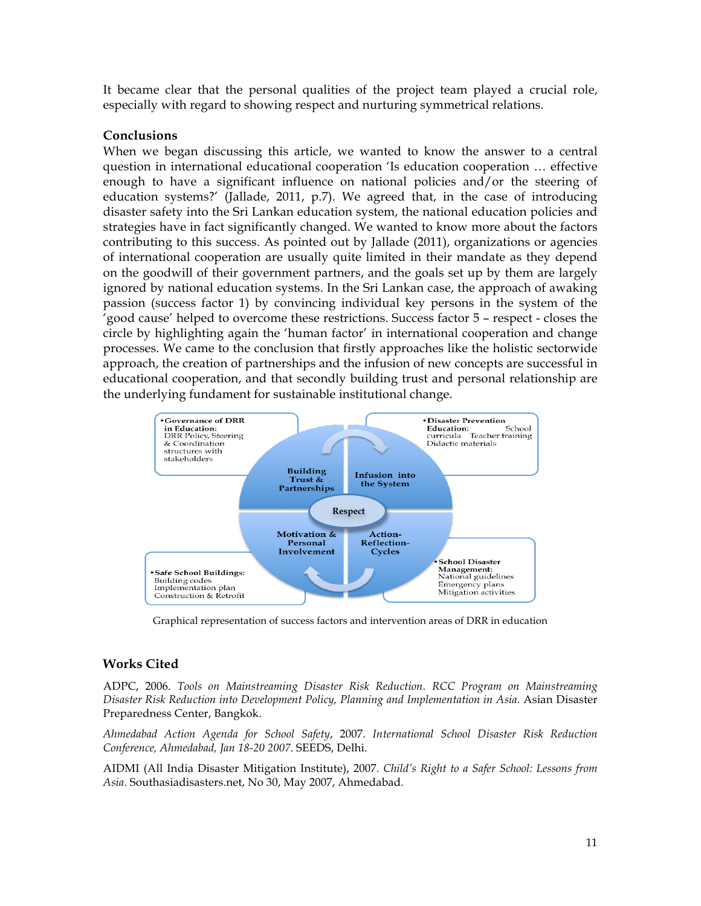It became clear that the personal qualities of the project team played a crucial role, especially with regard to showing respect and nurturing symmetrical relations.

### **Conclusions**

When we began discussing this article, we wanted to know the answer to a central question in international educational cooperation 'Is education cooperation … effective enough to have a significant influence on national policies and/or the steering of education systems?' (Jallade, 2011, p.7). We agreed that, in the case of introducing disaster safety into the Sri Lankan education system, the national education policies and strategies have in fact significantly changed. We wanted to know more about the factors contributing to this success. As pointed out by Jallade (2011), organizations or agencies of international cooperation are usually quite limited in their mandate as they depend on the goodwill of their government partners, and the goals set up by them are largely ignored by national education systems. In the Sri Lankan case, the approach of awaking passion (success factor 1) by convincing individual key persons in the system of the 'good cause' helped to overcome these restrictions. Success factor 5 – respect - closes the circle by highlighting again the 'human factor' in international cooperation and change processes. We came to the conclusion that firstly approaches like the holistic sectorwide approach, the creation of partnerships and the infusion of new concepts are successful in educational cooperation, and that secondly building trust and personal relationship are the underlying fundament for sustainable institutional change.



Graphical representation of success factors and intervention areas of DRR in education

# **Works Cited**

ADPC, 2006. *Tools on Mainstreaming Disaster Risk Reduction*. *RCC Program on Mainstreaming Disaster Risk Reduction into Development Policy, Planning and Implementation in Asia.* Asian Disaster Preparedness Center, Bangkok.

*Ahmedabad Action Agenda for School Safety*, 2007. *International School Disaster Risk Reduction Conference, Ahmedabad, Jan 18-20 2007*. SEEDS, Delhi.

AIDMI (All India Disaster Mitigation Institute), 2007. *Child's Right to a Safer School: Lessons from Asia*. Southasiadisasters.net, No 30, May 2007, Ahmedabad.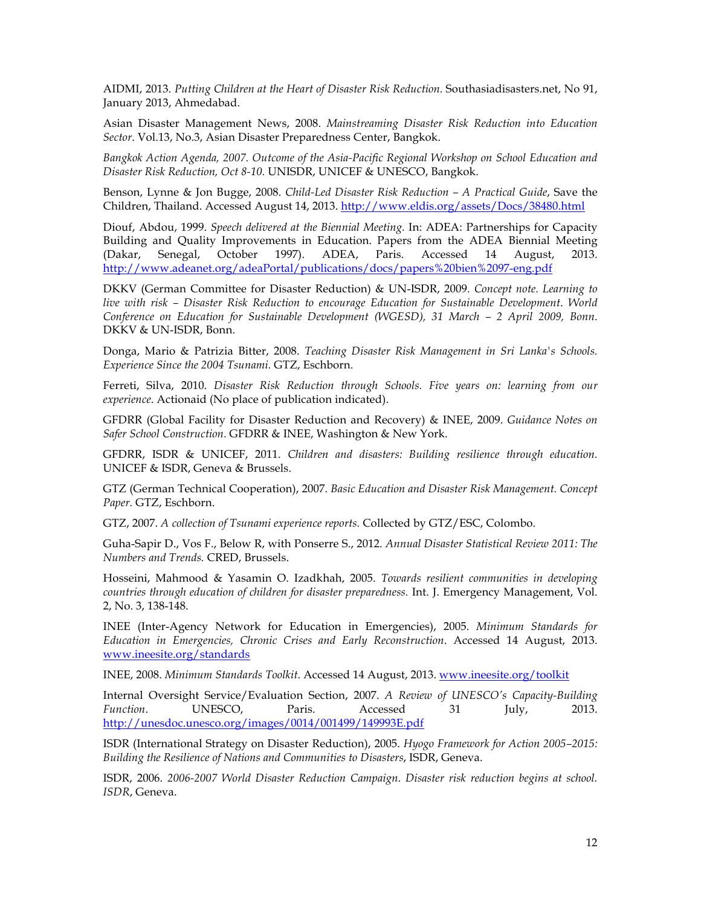AIDMI, 2013. *Putting Children at the Heart of Disaster Risk Reduction.* Southasiadisasters.net, No 91, January 2013, Ahmedabad.

Asian Disaster Management News, 2008. *Mainstreaming Disaster Risk Reduction into Education Sector*. Vol.13, No.3, Asian Disaster Preparedness Center, Bangkok.

*Bangkok Action Agenda, 2007. Outcome of the Asia-Pacific Regional Workshop on School Education and Disaster Risk Reduction, Oct 8-10.* UNISDR, UNICEF & UNESCO, Bangkok.

Benson, Lynne & Jon Bugge, 2008. *Child-Led Disaster Risk Reduction – A Practical Guide*, Save the Children, Thailand. Accessed August 14, 2013. http://www.eldis.org/assets/Docs/38480.html

Diouf, Abdou, 1999. *Speech delivered at the Biennial Meeting.* In: ADEA: Partnerships for Capacity Building and Quality Improvements in Education. Papers from the ADEA Biennial Meeting (Dakar, Senegal, October 1997). ADEA, Paris. Accessed 14 August, 2013. http://www.adeanet.org/adeaPortal/publications/docs/papers%20bien%2097-eng.pdf

DKKV (German Committee for Disaster Reduction) & UN-ISDR, 2009. *Concept note. Learning to live with risk – Disaster Risk Reduction to encourage Education for Sustainable Development*. *World Conference on Education for Sustainable Development (WGESD), 31 March – 2 April 2009, Bonn*. DKKV & UN-ISDR, Bonn.

Donga, Mario & Patrizia Bitter, 2008. *Teaching Disaster Risk Management in Sri Lanka's Schools. Experience Since the 2004 Tsunami.* GTZ, Eschborn.

Ferreti, Silva, 2010. *Disaster Risk Reduction through Schools. Five years on: learning from our experience*. Actionaid (No place of publication indicated).

GFDRR (Global Facility for Disaster Reduction and Recovery) & INEE, 2009. *Guidance Notes on Safer School Construction.* GFDRR & INEE, Washington & New York.

GFDRR, ISDR & UNICEF, 2011. *Children and disasters: Building resilience through education.* UNICEF & ISDR, Geneva & Brussels.

GTZ (German Technical Cooperation), 2007. *Basic Education and Disaster Risk Management. Concept Paper.* GTZ, Eschborn.

GTZ, 2007. *A collection of Tsunami experience reports.* Collected by GTZ/ESC, Colombo.

Guha-Sapir D., Vos F., Below R, with Ponserre S., 2012. *Annual Disaster Statistical Review 2011: The Numbers and Trends.* CRED, Brussels.

Hosseini, Mahmood & Yasamin O. Izadkhah, 2005. *Towards resilient communities in developing countries through education of children for disaster preparedness.* Int. J. Emergency Management, Vol. 2, No. 3, 138-148.

INEE (Inter-Agency Network for Education in Emergencies), 2005. *Minimum Standards for Education in Emergencies, Chronic Crises and Early Reconstruction*. Accessed 14 August, 2013. www.ineesite.org/standards

INEE, 2008. *Minimum Standards Toolkit*. Accessed 14 August, 2013. www.ineesite.org/toolkit

Internal Oversight Service/Evaluation Section, 2007. *A Review of UNESCO's Capacity-Building Function*. UNESCO, Paris. Accessed 31 July, 2013. http://unesdoc.unesco.org/images/0014/001499/149993E.pdf

ISDR (International Strategy on Disaster Reduction), 2005. *Hyogo Framework for Action 2005–2015: Building the Resilience of Nations and Communities to Disasters*, ISDR, Geneva.

ISDR, 2006. *2006-2007 World Disaster Reduction Campaign. Disaster risk reduction begins at school. ISDR*, Geneva.